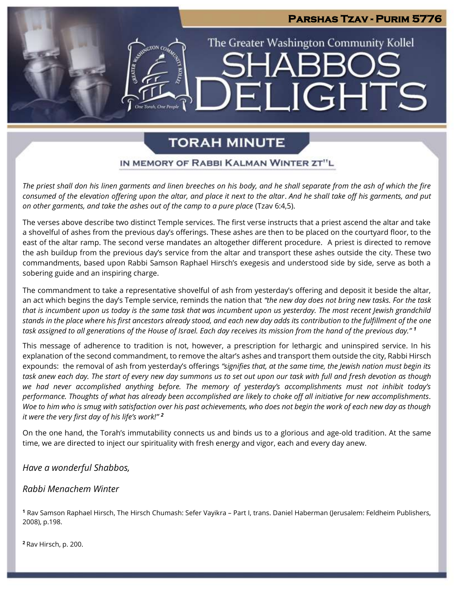# The Greater Washington Community Kollel **JGHTS** EI

**Parshas Tzav - Purim 5776** 

## **TORAH MINUTE**

#### IN MEMORY OF RABBI KALMAN WINTER ZT"L

*The priest shall don his linen garments and linen breeches on his body, and he shall separate from the ash of which the fire consumed of the elevation offering upon the altar, and place it next to the altar*. *And he shall take off his garments, and put on other garments, and take the ashes out of the camp to a pure place* (Tzav 6:4,5).

The verses above describe two distinct Temple services. The first verse instructs that a priest ascend the altar and take a shovelful of ashes from the previous day's offerings. These ashes are then to be placed on the courtyard floor, to the east of the altar ramp. The second verse mandates an altogether different procedure. A priest is directed to remove the ash buildup from the previous day's service from the altar and transport these ashes outside the city. These two commandments, based upon Rabbi Samson Raphael Hirsch's exegesis and understood side by side, serve as both a sobering guide and an inspiring charge.

The commandment to take a representative shovelful of ash from yesterday's offering and deposit it beside the altar, an act which begins the day's Temple service, reminds the nation that *"the new day does not bring new tasks. For the task that is incumbent upon us today is the same task that was incumbent upon us yesterday. The most recent Jewish grandchild stands in the place where his first ancestors already stood, and each new day adds its contribution to the fulfillment of the one task assigned to all generations of the House of Israel. Each day receives its mission from the hand of the previous day." <sup>1</sup>*

This message of adherence to tradition is not, however, a prescription for lethargic and uninspired service. In his explanation of the second commandment, to remove the altar's ashes and transport them outside the city, Rabbi Hirsch expounds: the removal of ash from yesterday's offerings *"signifies that, at the same time, the Jewish nation must begin its task anew each day. The start of every new day summons us to set out upon our task with full and fresh devotion as though we had never accomplished anything before. The memory of yesterday's accomplishments must not inhibit today's performance. Thoughts of what has already been accomplished are likely to choke off all initiative for new accomplishments. Woe to him who is smug with satisfaction over his past achievements, who does not begin the work of each new day as though it were the very first day of his life's work!" <sup>2</sup>*

On the one hand, the Torah's immutability connects us and binds us to a glorious and age-old tradition. At the same time, we are directed to inject our spirituality with fresh energy and vigor, each and every day anew.

#### *Have a wonderful Shabbos,*

#### *Rabbi Menachem Winter*

**<sup>1</sup>** Rav Samson Raphael Hirsch, The Hirsch Chumash: Sefer Vayikra – Part I, trans. Daniel Haberman (Jerusalem: Feldheim Publishers, 2008), p.198.

**<sup>2</sup>** Rav Hirsch, p. 200.